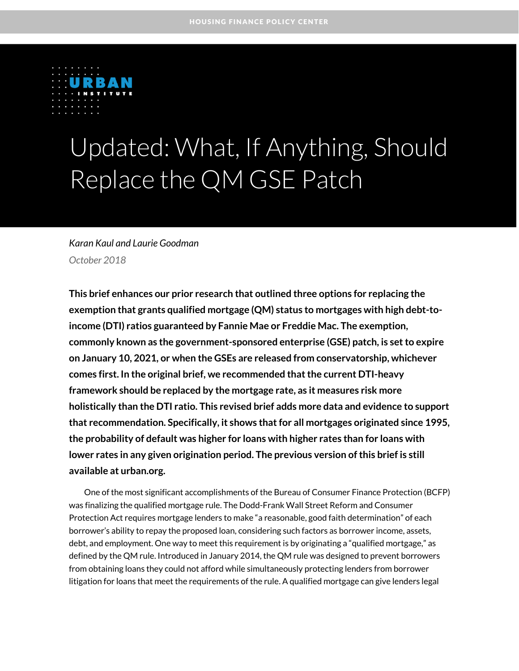

# Updated: What, If Anything, Should Replace the QM GSE Patch

### *Karan Kaul and Laurie Goodman October 2018*

**This brief enhances our prior research that outlined three options for replacing the exemption that grants qualified mortgage (QM) status to mortgages with high debt-toincome (DTI) ratios guaranteed by Fannie Mae or Freddie Mac. The exemption, commonly known as the government-sponsored enterprise (GSE) patch, is set to expire on January 10, 2021, or when the GSEs are released from conservatorship, whichever comes first. In the original brief, we recommended that the current DTI-heavy framework should be replaced by the mortgage rate, as it measures risk more holistically than the DTI ratio. This revised brief adds more data and evidence to support that recommendation. Specifically, it shows that for all mortgages originated since 1995, the probability of default was higher for loans with higher rates than for loans with lower rates in any given origination period. The previous version of this brief is still available at urban.org.**

One of the most significant accomplishments of the Bureau of Consumer Finance Protection (BCFP) was finalizing the qualified mortgage rule. The Dodd-Frank Wall Street Reform and Consumer Protection Act requires mortgage lenders to make "a reasonable, good faith determination" of each borrower's ability to repay the proposed loan, considering such factors as borrower income, assets, debt, and employment. One way to meet this requirement is by originating a "qualified mortgage," as defined by the QM rule. Introduced in January 2014, the QM rule was designed to prevent borrowers from obtaining loans they could not afford while simultaneously protecting lenders from borrower litigation for loans that meet the requirements of the rule. A qualified mortgage can give lenders legal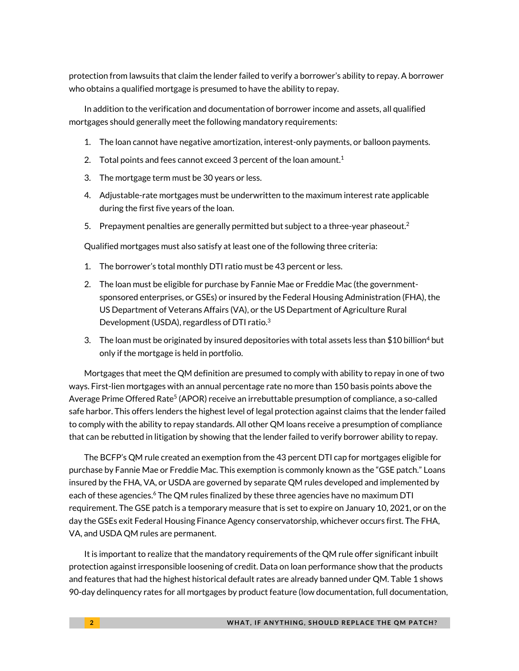protection from lawsuits that claim the lender failed to verify a borrower's ability to repay. A borrower who obtains a qualified mortgage is presumed to have the ability to repay.

In addition to the verification and documentation of borrower income and assets, all qualified mortgages should generally meet the following mandatory requirements:

- 1. The loan cannot have negative amortization, interest-only payments, or balloon payments.
- 2. Total points and fees cannot exceed 3 percent of the loan amount.<sup>1</sup>
- 3. The mortgage term must be 30 years or less.
- 4. Adjustable-rate mortgages must be underwritten to the maximum interest rate applicable during the first five years of the loan.
- 5. Prepayment penalties are generally permitted but subject to a three-year phaseout.<sup>2</sup>

Qualified mortgages must also satisfy at least one of the following three criteria:

- 1. The borrower's total monthly DTI ratio must be 43 percent or less.
- 2. The loan must be eligible for purchase by Fannie Mae or Freddie Mac (the governmentsponsored enterprises, or GSEs) or insured by the Federal Housing Administration (FHA), the US Department of Veterans Affairs (VA), or the US Department of Agriculture Rural Development (USDA), regardless of DTI ratio.<sup>3</sup>
- 3. The loan must be originated by insured depositories with total assets less than \$10 billion<sup>4</sup> but only if the mortgage is held in portfolio.

Mortgages that meet the QM definition are presumed to comply with ability to repay in one of two ways. First-lien mortgages with an annual percentage rate no more than 150 basis points above the Average Prime Offered Rate<sup>5</sup> (APOR) receive an irrebuttable presumption of compliance, a so-called safe harbor. This offers lenders the highest level of legal protection against claims that the lender failed to comply with the ability to repay standards. All other QM loans receive a presumption of compliance that can be rebutted in litigation by showing that the lender failed to verify borrower ability to repay.

The BCFP's QM rule created an exemption from the 43 percent DTI cap for mortgages eligible for purchase by Fannie Mae or Freddie Mac. This exemption is commonly known as the "GSE patch." Loans insured by the FHA, VA, or USDA are governed by separate QM rules developed and implemented by each of these agencies.<sup>6</sup> The QM rules finalized by these three agencies have no maximum DTI requirement. The GSE patch is a temporary measure that is set to expire on January 10, 2021, or on the day the GSEs exit Federal Housing Finance Agency conservatorship, whichever occurs first. The FHA, VA, and USDA QM rules are permanent.

It is important to realize that the mandatory requirements of the QM rule offer significant inbuilt protection against irresponsible loosening of credit. Data on loan performance show that the products and features that had the highest historical default rates are already banned under QM. Table 1 shows 90-day delinquency rates for all mortgages by product feature (low documentation, full documentation,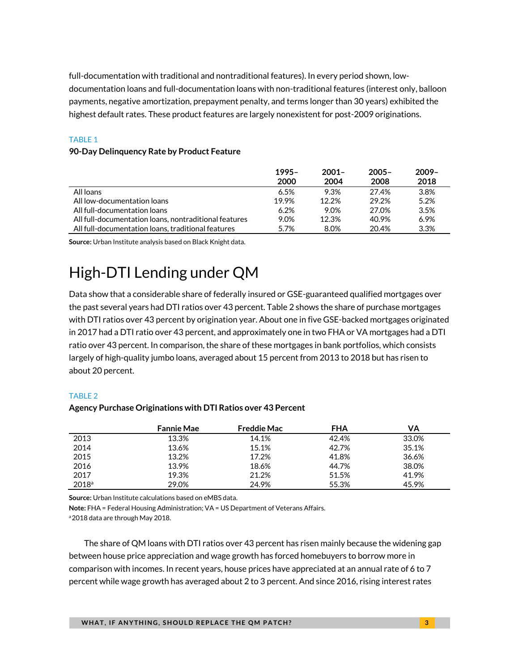full-documentation with traditional and nontraditional features). In every period shown, lowdocumentation loans and full-documentation loans with non-traditional features (interest only, balloon payments, negative amortization, prepayment penalty, and terms longer than 30 years) exhibited the highest default rates. These product features are largely nonexistent for post-2009 originations.

### TABLE 1

### **90-Day Delinquency Rate by Product Feature**

|                                                       | $1995 -$ | $2001 -$ | $2005 -$ | $2009 -$ |
|-------------------------------------------------------|----------|----------|----------|----------|
|                                                       | 2000     | 2004     | 2008     | 2018     |
| All loans                                             | 6.5%     | 9.3%     | 27.4%    | 3.8%     |
| All low-documentation loans                           | 19.9%    | 12.2%    | 29.2%    | 5.2%     |
| All full-documentation loans                          | $6.2\%$  | 9.0%     | 27.0%    | 3.5%     |
| All full-documentation loans, nontraditional features | 9.0%     | 12.3%    | 40.9%    | 6.9%     |
| All full-documentation loans, traditional features    | 5.7%     | 8.0%     | 20.4%    | 3.3%     |

**Source:** Urban Institute analysis based on Black Knight data.

# High-DTI Lending under QM

Data show that a considerable share of federally insured or GSE-guaranteed qualified mortgages over the past several years had DTI ratios over 43 percent. Table 2 shows the share of purchase mortgages with DTI ratios over 43 percent by origination year. About one in five GSE-backed mortgages originated in 2017 had a DTI ratio over 43 percent, and approximately one in two FHA or VA mortgages had a DTI ratio over 43 percent. In comparison, the share of these mortgages in bank portfolios, which consists largely of high-quality jumbo loans, averaged about 15 percent from 2013 to 2018 but has risen to about 20 percent.

### TABLE 2

### **Agency Purchase Originations with DTI Ratios over 43 Percent**

|                   | <b>Fannie Mae</b> | <b>Freddie Mac</b> | <b>FHA</b> | VA    |
|-------------------|-------------------|--------------------|------------|-------|
| 2013              | 13.3%             | 14.1%              | 42.4%      | 33.0% |
| 2014              | 13.6%             | 15.1%              | 42.7%      | 35.1% |
| 2015              | 13.2%             | 17.2%              | 41.8%      | 36.6% |
| 2016              | 13.9%             | 18.6%              | 44.7%      | 38.0% |
| 2017              | 19.3%             | 21.2%              | 51.5%      | 41.9% |
| 2018 <sup>a</sup> | 29.0%             | 24.9%              | 55.3%      | 45.9% |

**Source:** Urban Institute calculations based on eMBS data.

**Note:** FHA = Federal Housing Administration; VA = US Department of Veterans Affairs.

a 2018 data are through May 2018.

The share of QM loans with DTI ratios over 43 percent has risen mainly because the widening gap between house price appreciation and wage growth has forced homebuyers to borrow more in comparison with incomes. In recent years, house prices have appreciated at an annual rate of 6 to 7 percent while wage growth has averaged about 2 to 3 percent. And since 2016, rising interest rates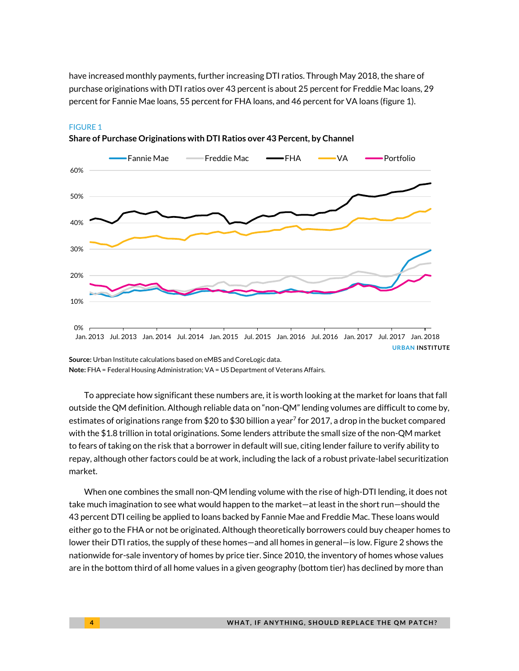have increased monthly payments, further increasing DTI ratios. Through May 2018, the share of purchase originations with DTI ratios over 43 percent is about 25 percent for Freddie Mac loans, 29 percent for Fannie Mae loans, 55 percent for FHA loans, and 46 percent for VA loans (figure 1).



#### FIGURE 1

**Share of Purchase Originations with DTI Ratios over 43 Percent, by Channel**

**Source:** Urban Institute calculations based on eMBS and CoreLogic data. **Note:** FHA = Federal Housing Administration; VA = US Department of Veterans Affairs.

To appreciate how significant these numbers are, it is worth looking at the market for loans that fall outside the QM definition. Although reliable data on "non-QM" lending volumes are difficult to come by, estimates of originations range from \$20 to \$30 billion a year<sup>7</sup> for 2017, a drop in the bucket compared with the \$1.8 trillion in total originations. Some lenders attribute the small size of the non-QM market to fears of taking on the risk that a borrower in default will sue, citing lender failure to verify ability to repay, although other factors could be at work, including the lack of a robust private-label securitization market.

When one combines the small non-QM lending volume with the rise of high-DTI lending, it does not take much imagination to see what would happen to the market—at least in the short run—should the 43 percent DTI ceiling be applied to loans backed by Fannie Mae and Freddie Mac. These loans would either go to the FHA or not be originated. Although theoretically borrowers could buy cheaper homes to lower their DTI ratios, the supply of these homes—and all homes in general—is low. Figure 2 shows the nationwide for-sale inventory of homes by price tier. Since 2010, the inventory of homes whose values are in the bottom third of all home values in a given geography (bottom tier) has declined by more than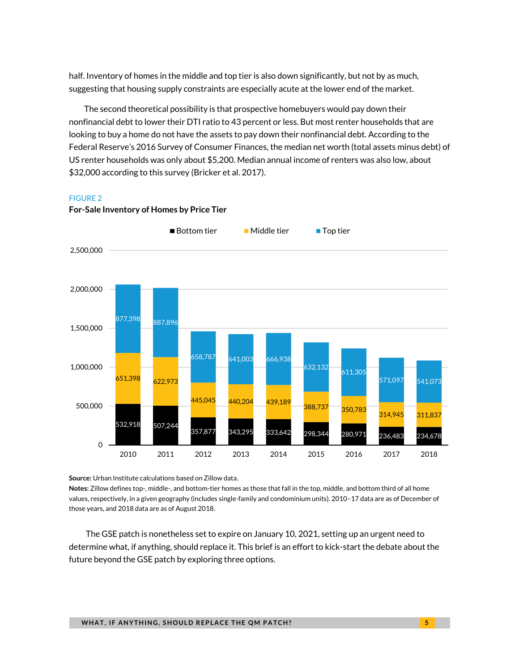half. Inventory of homes in the middle and top tier is also down significantly, but not by as much, suggesting that housing supply constraints are especially acute at the lower end of the market.

The second theoretical possibility is that prospective homebuyers would pay down their nonfinancial debt to lower their DTI ratio to 43 percent or less. But most renter households that are looking to buy a home do not have the assets to pay down their nonfinancial debt. According to the Federal Reserve's 2016 Survey of Consumer Finances, the median net worth (total assets minus debt) of US renter households was only about \$5,200. Median annual income of renters was also low, about \$32,000 according to this survey (Bricker et al. 2017).

#### FIGURE 2



### **For-Sale Inventory of Homes by Price Tier**

**Source:** Urban Institute calculations based on Zillow data.

**Notes:** Zillow defines top-, middle-, and bottom-tier homes as those that fall in the top, middle, and bottom third of all home values, respectively, in a given geography (includes single-family and condominium units). 2010–17 data are as of December of those years, and 2018 data are as of August 2018.

The GSE patch is nonetheless set to expire on January 10, 2021, setting up an urgent need to determine what, if anything, should replace it. This brief is an effort to kick-start the debate about the future beyond the GSE patch by exploring three options.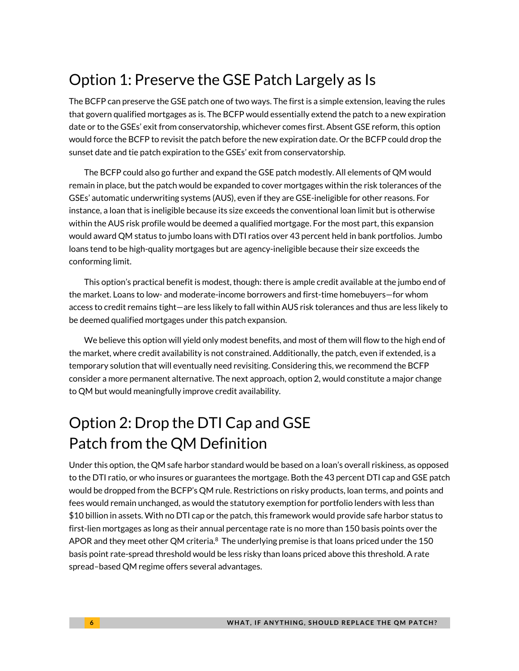# Option 1: Preserve the GSE Patch Largely as Is

The BCFP can preserve the GSE patch one of two ways. The first is a simple extension, leaving the rules that govern qualified mortgages as is. The BCFP would essentially extend the patch to a new expiration date or to the GSEs' exit from conservatorship, whichever comes first. Absent GSE reform, this option would force the BCFP to revisit the patch before the new expiration date. Or the BCFP could drop the sunset date and tie patch expiration to the GSEs' exit from conservatorship.

The BCFP could also go further and expand the GSE patch modestly. All elements of QM would remain in place, but the patch would be expanded to cover mortgages within the risk tolerances of the GSEs' automatic underwriting systems (AUS), even if they are GSE-ineligible for other reasons. For instance, a loan that is ineligible because its size exceeds the conventional loan limit but is otherwise within the AUS risk profile would be deemed a qualified mortgage. For the most part, this expansion would award QM status to jumbo loans with DTI ratios over 43 percent held in bank portfolios. Jumbo loans tend to be high-quality mortgages but are agency-ineligible because their size exceeds the conforming limit.

This option's practical benefit is modest, though: there is ample credit available at the jumbo end of the market. Loans to low- and moderate-income borrowers and first-time homebuyers—for whom access to credit remains tight—are less likely to fall within AUS risk tolerances and thus are less likely to be deemed qualified mortgages under this patch expansion.

We believe this option will yield only modest benefits, and most of them will flow to the high end of the market, where credit availability is not constrained. Additionally, the patch, even if extended, is a temporary solution that will eventually need revisiting. Considering this, we recommend the BCFP consider a more permanent alternative. The next approach, option 2, would constitute a major change to QM but would meaningfully improve credit availability.

# Option 2: Drop the DTI Cap and GSE Patch from the QM Definition

Under this option, the QM safe harbor standard would be based on a loan's overall riskiness, as opposed to the DTI ratio, or who insures or guarantees the mortgage. Both the 43 percent DTI cap and GSE patch would be dropped from the BCFP's QM rule. Restrictions on risky products, loan terms, and points and fees would remain unchanged, as would the statutory exemption for portfolio lenders with less than \$10 billion in assets. With no DTI cap or the patch, this framework would provide safe harbor status to first-lien mortgages as long as their annual percentage rate is no more than 150 basis points over the APOR and they meet other QM criteria. $8\,$  The underlying premise is that loans priced under the 150 basis point rate-spread threshold would be less risky than loans priced above this threshold. A rate spread–based QM regime offers several advantages.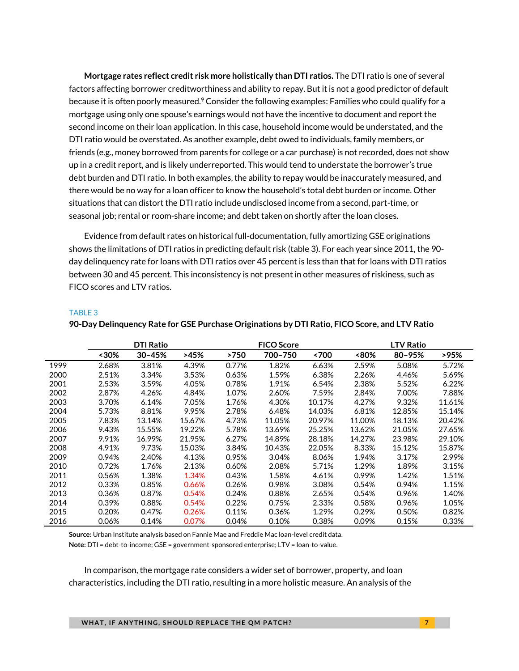**Mortgage rates reflect credit risk more holistically than DTI ratios.** The DTI ratio is one of several factors affecting borrower creditworthiness and ability to repay. But it is not a good predictor of default because it is often poorly measured.<sup>9</sup> Consider the following examples: Families who could qualify for a mortgage using only one spouse's earnings would not have the incentive to document and report the second income on their loan application. In this case, household income would be understated, and the DTI ratio would be overstated. As another example, debt owed to individuals, family members, or friends (e.g., money borrowed from parents for college or a car purchase) is not recorded, does not show up in a credit report, and is likely underreported. This would tend to understate the borrower's true debt burden and DTI ratio. In both examples, the ability to repay would be inaccurately measured, and there would be no way for a loan officer to know the household's total debt burden or income. Other situations that can distort the DTI ratio include undisclosed income from a second, part-time, or seasonal job; rental or room-share income; and debt taken on shortly after the loan closes.

Evidence from default rates on historical full-documentation, fully amortizing GSE originations shows the limitations of DTI ratios in predicting default risk (table 3). For each year since 2011, the 90 day delinquency rate for loans with DTI ratios over 45 percent is less than that for loans with DTI ratios between 30 and 45 percent. This inconsistency is not present in other measures of riskiness, such as FICO scores and LTV ratios.

|      | <b>DTI Ratio</b> |            |        | <b>FICO Score</b> |         |        | <b>LTV Ratio</b> |        |        |
|------|------------------|------------|--------|-------------------|---------|--------|------------------|--------|--------|
|      | $~130\%$         | $30 - 45%$ | >45%   | >750              | 700-750 | <700   | <80%             | 80-95% | >95%   |
| 1999 | 2.68%            | 3.81%      | 4.39%  | 0.77%             | 1.82%   | 6.63%  | 2.59%            | 5.08%  | 5.72%  |
| 2000 | 2.51%            | 3.34%      | 3.53%  | 0.63%             | 1.59%   | 6.38%  | 2.26%            | 4.46%  | 5.69%  |
| 2001 | 2.53%            | 3.59%      | 4.05%  | 0.78%             | 1.91%   | 6.54%  | 2.38%            | 5.52%  | 6.22%  |
| 2002 | 2.87%            | 4.26%      | 4.84%  | 1.07%             | 2.60%   | 7.59%  | 2.84%            | 7.00%  | 7.88%  |
| 2003 | 3.70%            | 6.14%      | 7.05%  | 1.76%             | 4.30%   | 10.17% | 4.27%            | 9.32%  | 11.61% |
| 2004 | 5.73%            | 8.81%      | 9.95%  | 2.78%             | 6.48%   | 14.03% | 6.81%            | 12.85% | 15.14% |
| 2005 | 7.83%            | 13.14%     | 15.67% | 4.73%             | 11.05%  | 20.97% | 11.00%           | 18.13% | 20.42% |
| 2006 | 9.43%            | 15.55%     | 19.22% | 5.78%             | 13.69%  | 25.25% | 13.62%           | 21.05% | 27.65% |
| 2007 | 9.91%            | 16.99%     | 21.95% | 6.27%             | 14.89%  | 28.18% | 14.27%           | 23.98% | 29.10% |
| 2008 | 4.91%            | 9.73%      | 15.03% | 3.84%             | 10.43%  | 22.05% | 8.33%            | 15.12% | 15.87% |
| 2009 | 0.94%            | 2.40%      | 4.13%  | 0.95%             | 3.04%   | 8.06%  | 1.94%            | 3.17%  | 2.99%  |
| 2010 | 0.72%            | 1.76%      | 2.13%  | 0.60%             | 2.08%   | 5.71%  | 1.29%            | 1.89%  | 3.15%  |
| 2011 | 0.56%            | 1.38%      | 1.34%  | 0.43%             | 1.58%   | 4.61%  | 0.99%            | 1.42%  | 1.51%  |
| 2012 | 0.33%            | 0.85%      | 0.66%  | 0.26%             | 0.98%   | 3.08%  | 0.54%            | 0.94%  | 1.15%  |
| 2013 | 0.36%            | 0.87%      | 0.54%  | 0.24%             | 0.88%   | 2.65%  | 0.54%            | 0.96%  | 1.40%  |
| 2014 | 0.39%            | 0.88%      | 0.54%  | 0.22%             | 0.75%   | 2.33%  | 0.58%            | 0.96%  | 1.05%  |
| 2015 | 0.20%            | 0.47%      | 0.26%  | 0.11%             | 0.36%   | 1.29%  | 0.29%            | 0.50%  | 0.82%  |
| 2016 | 0.06%            | 0.14%      | 0.07%  | 0.04%             | 0.10%   | 0.38%  | 0.09%            | 0.15%  | 0.33%  |

#### TABLE 3

|  | 90-Day Delinquency Rate for GSE Purchase Originations by DTI Ratio, FICO Score, and LTV Ratio |  |  |  |
|--|-----------------------------------------------------------------------------------------------|--|--|--|
|--|-----------------------------------------------------------------------------------------------|--|--|--|

**Source:** Urban Institute analysis based on Fannie Mae and Freddie Mac loan-level credit data.

**Note:** DTI = debt-to-income; GSE = government-sponsored enterprise; LTV = loan-to-value.

In comparison, the mortgage rate considers a wider set of borrower, property, and loan characteristics, including the DTI ratio, resulting in a more holistic measure. An analysis of the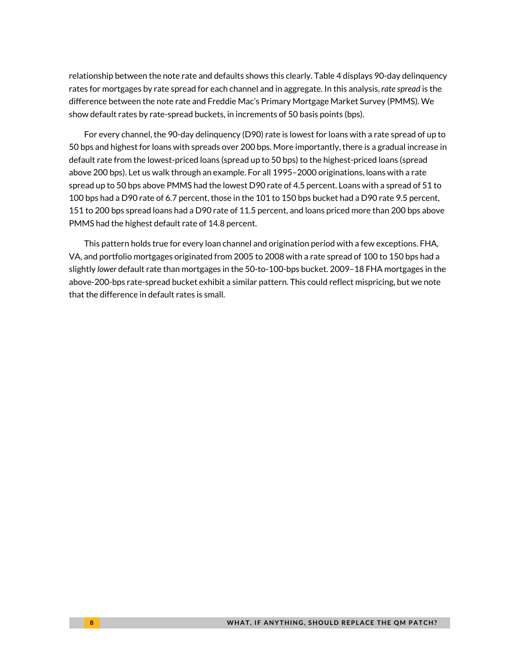relationship between the note rate and defaults shows this clearly. Table 4 displays 90-day delinquency rates for mortgages by rate spread for each channel and in aggregate. In this analysis, *rate spread* is the difference between the note rate and Freddie Mac's Primary Mortgage Market Survey (PMMS). We show default rates by rate-spread buckets, in increments of 50 basis points (bps).

For every channel, the 90-day delinquency (D90) rate is lowest for loans with a rate spread of up to 50 bps and highest for loans with spreads over 200 bps. More importantly, there is a gradual increase in default rate from the lowest-priced loans (spread up to 50 bps) to the highest-priced loans (spread above 200 bps). Let us walk through an example. For all 1995–2000 originations, loans with a rate spread up to 50 bps above PMMS had the lowest D90 rate of 4.5 percent. Loans with a spread of 51 to 100 bps had a D90 rate of 6.7 percent, those in the 101 to 150 bps bucket had a D90 rate 9.5 percent, 151 to 200 bps spread loans had a D90 rate of 11.5 percent, and loans priced more than 200 bps above PMMS had the highest default rate of 14.8 percent.

This pattern holds true for every loan channel and origination period with a few exceptions. FHA, VA, and portfolio mortgages originated from 2005 to 2008 with a rate spread of 100 to 150 bps had a slightly *lower* default rate than mortgages in the 50-to-100-bps bucket. 2009–18 FHA mortgages in the above-200-bps rate-spread bucket exhibit a similar pattern. This could reflect mispricing, but we note that the difference in default rates is small.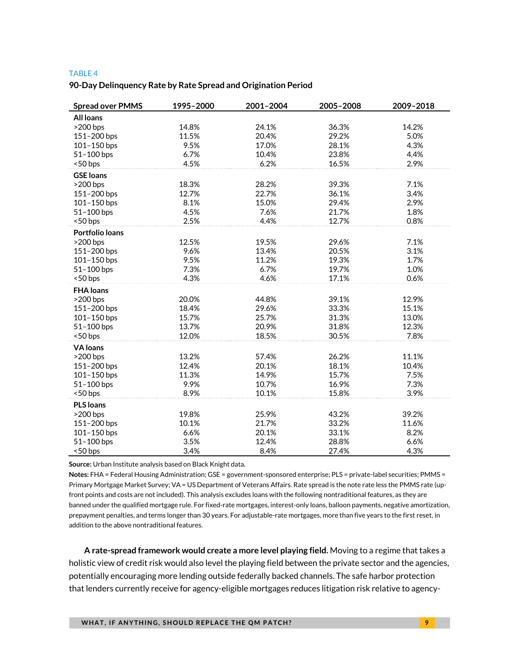#### TABLE 4

#### **90-Day Delinquency Rate by Rate Spread and Origination Period**

| <b>Spread over PMMS</b> | 1995-2000 | 2001-2004 | 2005-2008 | 2009-2018 |
|-------------------------|-----------|-----------|-----------|-----------|
| <b>All loans</b>        |           |           |           |           |
| $>200$ bps              | 14.8%     | 24.1%     | 36.3%     | 14.2%     |
| 151-200 bps             | 11.5%     | 20.4%     | 29.2%     | 5.0%      |
| 101-150 bps             | 9.5%      | 17.0%     | 28.1%     | 4.3%      |
| 51-100 bps              | 6.7%      | 10.4%     | 23.8%     | 4.4%      |
| <50 bps                 | 4.5%      | 6.2%      | 16.5%     | 2.9%      |
| <b>GSE loans</b>        |           |           |           |           |
| $>200$ bps              | 18.3%     | 28.2%     | 39.3%     | 7.1%      |
| 151-200 bps             | 12.7%     | 22.7%     | 36.1%     | 3.4%      |
| 101-150 bps             | 8.1%      | 15.0%     | 29.4%     | 2.9%      |
| 51-100 bps              | 4.5%      | 7.6%      | 21.7%     | 1.8%      |
| <50 bps                 | 2.5%      | 4.4%      | 12.7%     | 0.8%      |
| Portfolio loans         |           |           |           |           |
| >200 bps                | 12.5%     | 19.5%     | 29.6%     | 7.1%      |
| 151-200 bps             | 9.6%      | 13.4%     | 20.5%     | 3.1%      |
| 101-150 bps             | 9.5%      | 11.2%     | 19.3%     | 1.7%      |
| 51-100 bps              | 7.3%      | 6.7%      | 19.7%     | 1.0%      |
| <50 bps                 | 4.3%      | 4.6%      | 17.1%     | 0.6%      |
| <b>FHA loans</b>        |           |           |           |           |
| $>200$ bps              | 20.0%     | 44.8%     | 39.1%     | 12.9%     |
| 151-200 bps             | 18.4%     | 29.6%     | 33.3%     | 15.1%     |
| 101-150 bps             | 15.7%     | 25.7%     | 31.3%     | 13.0%     |
| 51-100 bps              | 13.7%     | 20.9%     | 31.8%     | 12.3%     |
| <50 bps                 | 12.0%     | 18.5%     | 30.5%     | 7.8%      |
| <b>VA</b> loans         |           |           |           |           |
| $>200$ bps              | 13.2%     | 57.4%     | 26.2%     | 11.1%     |
| 151-200 bps             | 12.4%     | 20.1%     | 18.1%     | 10.4%     |
| 101-150 bps             | 11.3%     | 14.9%     | 15.7%     | 7.5%      |
| 51-100 bps              | 9.9%      | 10.7%     | 16.9%     | 7.3%      |
| <50 bps                 | 8.9%      | 10.1%     | 15.8%     | 3.9%      |
| <b>PLS</b> loans        |           |           |           |           |
| $>200$ bps              | 19.8%     | 25.9%     | 43.2%     | 39.2%     |
| 151-200 bps             | 10.1%     | 21.7%     | 33.2%     | 11.6%     |
| 101-150 bps             | 6.6%      | 20.1%     | 33.1%     | 8.2%      |
| 51-100 bps              | 3.5%      | 12.4%     | 28.8%     | 6.6%      |
| <50 bps                 | 3.4%      | 8.4%      | 27.4%     | 4.3%      |

**Source:** Urban Institute analysis based on Black Knight data.

**Notes:** FHA = Federal Housing Administration; GSE = government-sponsored enterprise; PLS = private-label securities; PMMS = Primary Mortgage Market Survey; VA = US Department of Veterans Affairs. Rate spread is the note rate less the PMMS rate (upfront points and costs are not included). This analysis excludes loans with the following nontraditional features, as they are banned under the qualified mortgage rule. For fixed-rate mortgages, interest-only loans, balloon payments, negative amortization, prepayment penalties, and terms longer than 30 years. For adjustable-rate mortgages, more than five years to the first reset, in addition to the above nontraditional features.

**A rate-spread framework would create a more level playing field.** Moving to a regime that takes a holistic view of credit risk would also level the playing field between the private sector and the agencies, potentially encouraging more lending outside federally backed channels. The safe harbor protection that lenders currently receive for agency-eligible mortgages reduces litigation risk relative to agency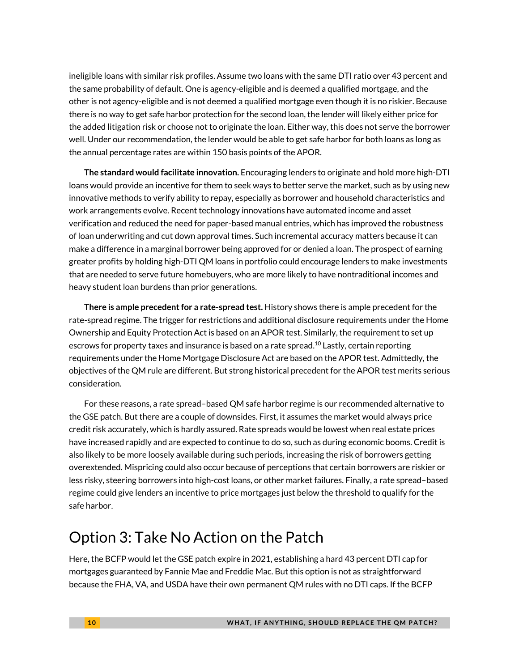ineligible loans with similar risk profiles. Assume two loans with the same DTI ratio over 43 percent and the same probability of default. One is agency-eligible and is deemed a qualified mortgage, and the other is not agency-eligible and is not deemed a qualified mortgage even though it is no riskier. Because there is no way to get safe harbor protection for the second loan, the lender will likely either price for the added litigation risk or choose not to originate the loan. Either way, this does not serve the borrower well. Under our recommendation, the lender would be able to get safe harbor for both loans as long as the annual percentage rates are within 150 basis points of the APOR.

**The standard would facilitate innovation.** Encouraging lenders to originate and hold more high-DTI loans would provide an incentive for them to seek ways to better serve the market, such as by using new innovative methods to verify ability to repay, especially as borrower and household characteristics and work arrangements evolve. Recent technology innovations have automated income and asset verification and reduced the need for paper-based manual entries, which has improved the robustness of loan underwriting and cut down approval times. Such incremental accuracy matters because it can make a difference in a marginal borrower being approved for or denied a loan. The prospect of earning greater profits by holding high-DTI QM loans in portfolio could encourage lenders to make investments that are needed to serve future homebuyers, who are more likely to have nontraditional incomes and heavy student loan burdens than prior generations.

**There is ample precedent for a rate-spread test.** History shows there is ample precedent for the rate-spread regime. The trigger for restrictions and additional disclosure requirements under the Home Ownership and Equity Protection Act is based on an APOR test. Similarly, the requirement to set up escrows for property taxes and insurance is based on a rate spread.<sup>10</sup> Lastly, certain reporting requirements under the Home Mortgage Disclosure Act are based on the APOR test. Admittedly, the objectives of the QM rule are different. But strong historical precedent for the APOR test merits serious consideration.

For these reasons, a rate spread–based QM safe harbor regime is our recommended alternative to the GSE patch. But there are a couple of downsides. First, it assumes the market would always price credit risk accurately, which is hardly assured. Rate spreads would be lowest when real estate prices have increased rapidly and are expected to continue to do so, such as during economic booms. Credit is also likely to be more loosely available during such periods, increasing the risk of borrowers getting overextended. Mispricing could also occur because of perceptions that certain borrowers are riskier or less risky, steering borrowers into high-cost loans, or other market failures. Finally, a rate spread–based regime could give lenders an incentive to price mortgages just below the threshold to qualify for the safe harbor.

### Option 3: Take No Action on the Patch

Here, the BCFP would let the GSE patch expire in 2021, establishing a hard 43 percent DTI cap for mortgages guaranteed by Fannie Mae and Freddie Mac. But this option is not as straightforward because the FHA, VA, and USDA have their own permanent QM rules with no DTI caps. If the BCFP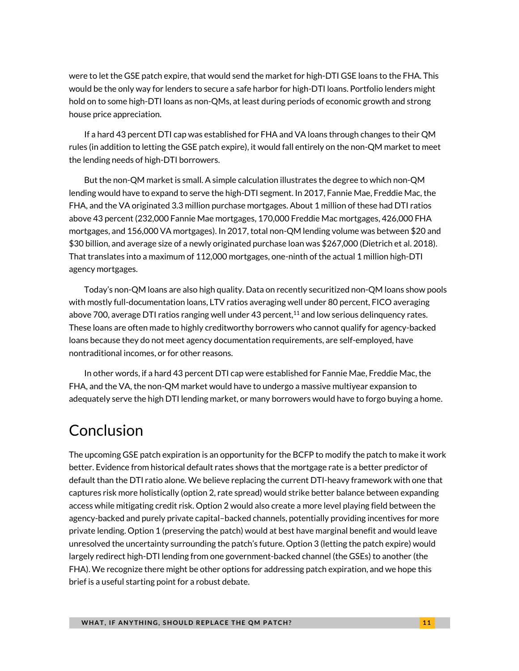were to let the GSE patch expire, that would send the market for high-DTI GSE loans to the FHA. This would be the only way for lenders to secure a safe harbor for high-DTI loans. Portfolio lenders might hold on to some high-DTI loans as non-QMs, at least during periods of economic growth and strong house price appreciation.

If a hard 43 percent DTI cap was established for FHA and VA loans through changes to their QM rules (in addition to letting the GSE patch expire), it would fall entirely on the non-QM market to meet the lending needs of high-DTI borrowers.

But the non-QM market is small. A simple calculation illustrates the degree to which non-QM lending would have to expand to serve the high-DTI segment. In 2017, Fannie Mae, Freddie Mac, the FHA, and the VA originated 3.3 million purchase mortgages. About 1 million of these had DTI ratios above 43 percent (232,000 Fannie Mae mortgages, 170,000 Freddie Mac mortgages, 426,000 FHA mortgages, and 156,000 VA mortgages). In 2017, total non-QM lending volume was between \$20 and \$30 billion, and average size of a newly originated purchase loan was \$267,000 (Dietrich et al. 2018). That translates into a maximum of 112,000 mortgages, one-ninth of the actual 1 million high-DTI agency mortgages.

Today's non-QM loans are also high quality. Data on recently securitized non-QM loans show pools with mostly full-documentation loans, LTV ratios averaging well under 80 percent, FICO averaging above 700, average DTI ratios ranging well under 43 percent,<sup>11</sup> and low serious delinquency rates. These loans are often made to highly creditworthy borrowers who cannot qualify for agency-backed loans because they do not meet agency documentation requirements, are self-employed, have nontraditional incomes, or for other reasons.

In other words, if a hard 43 percent DTI cap were established for Fannie Mae, Freddie Mac, the FHA, and the VA, the non-QM market would have to undergo a massive multiyear expansion to adequately serve the high DTI lending market, or many borrowers would have to forgo buying a home.

# Conclusion

The upcoming GSE patch expiration is an opportunity for the BCFP to modify the patch to make it work better. Evidence from historical default rates shows that the mortgage rate is a better predictor of default than the DTI ratio alone. We believe replacing the current DTI-heavy framework with one that captures risk more holistically (option 2, rate spread) would strike better balance between expanding access while mitigating credit risk. Option 2 would also create a more level playing field between the agency-backed and purely private capital–backed channels, potentially providing incentives for more private lending. Option 1 (preserving the patch) would at best have marginal benefit and would leave unresolved the uncertainty surrounding the patch's future. Option 3 (letting the patch expire) would largely redirect high-DTI lending from one government-backed channel (the GSEs) to another (the FHA). We recognize there might be other options for addressing patch expiration, and we hope this brief is a useful starting point for a robust debate.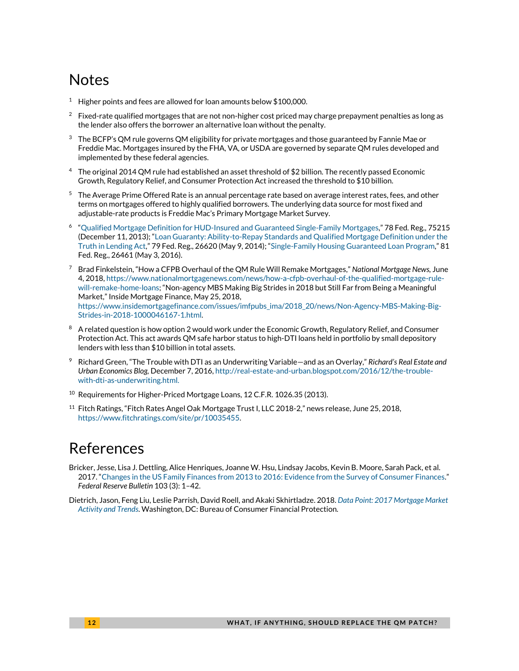# Notes

- <sup>1</sup> Higher points and fees are allowed for loan amounts below \$100,000.
- 2 Fixed-rate qualified mortgages that are not non-higher cost priced may charge prepayment penalties as long as the lender also offers the borrower an alternative loan without the penalty.
- $3$  The BCFP's QM rule governs QM eligibility for private mortgages and those guaranteed by Fannie Mae or Freddie Mac. Mortgages insured by the FHA, VA, or USDA are governed by separate QM rules developed and implemented by these federal agencies.
- <sup>4</sup> The original 2014 QM rule had established an asset threshold of \$2 billion. The recently passed Economic Growth, Regulatory Relief, and Consumer Protection Act increased the threshold to \$10 billion.
- <sup>5</sup> The Average Prime Offered Rate is an annual percentage rate based on average interest rates, fees, and other terms on mortgages offered to highly qualified borrowers. The underlying data source for most fixed and adjustable-rate products is Freddie Mac's Primary Mortgage Market Survey.
- 6 "[Qualified Mortgage Definition for HUD-Insured and Guaranteed Single-Family Mortgages](https://www.gpo.gov/fdsys/pkg/FR-2013-12-11/pdf/2013-29482.pdf)," 78 Fed. Reg., 75215 (December 11, 2013); "[Loan Guaranty: Ability-to-Repay Standards and Qualified Mortgage Definition under the](https://www.gpo.gov/fdsys/pkg/FR-2014-05-09/pdf/2014-10600.pdf)  [Truth in Lending Act](https://www.gpo.gov/fdsys/pkg/FR-2014-05-09/pdf/2014-10600.pdf)," 79 Fed. Reg., 26620 (May 9, 2014); "[Single-Family Housing Guaranteed Loan Program](https://www.gpo.gov/fdsys/pkg/FR-2016-05-03/pdf/2016-10217.pdf)," 81 Fed. Reg., 26461 (May 3, 2016).
- <sup>7</sup> Brad Finkelstein, "How a CFPB Overhaul of the QM Rule Will Remake Mortgages," *National Mortgage News,* June 4, 2018[, https://www.nationalmortgagenews.com/news/how-a-cfpb-overhaul-of-the-qualified-mortgage-rule](https://www.nationalmortgagenews.com/news/how-a-cfpb-overhaul-of-the-qualified-mortgage-rule-will-remake-home-loans)[will-remake-home-loans;](https://www.nationalmortgagenews.com/news/how-a-cfpb-overhaul-of-the-qualified-mortgage-rule-will-remake-home-loans) "Non-agency MBS Making Big Strides in 2018 but Still Far from Being a Meaningful Market," Inside Mortgage Finance, May 25, 2018, [https://www.insidemortgagefinance.com/issues/imfpubs\\_ima/2018\\_20/news/Non-Agency-MBS-Making-Big-](https://www.insidemortgagefinance.com/issues/imfpubs_ima/2018_20/news/Non-Agency-MBS-Making-Big-Strides-in-2018-1000046167-1.html)[Strides-in-2018-1000046167-1.html.](https://www.insidemortgagefinance.com/issues/imfpubs_ima/2018_20/news/Non-Agency-MBS-Making-Big-Strides-in-2018-1000046167-1.html)
- 8 A related question is how option 2 would work under the Economic Growth, Regulatory Relief, and Consumer Protection Act. This act awards QM safe harbor status to high-DTI loans held in portfolio by small depository lenders with less than \$10 billion in total assets.
- 9 Richard Green, "The Trouble with DTI as an Underwriting Variable—and as an Overlay," *Richard's Real Estate and Urban Economics Blog,* December 7, 2016[, http://real-estate-and-urban.blogspot.com/2016/12/the-trouble](http://real-estate-and-urban.blogspot.com/2016/12/the-trouble-with-dti-as-underwriting.html)[with-dti-as-underwriting.html.](http://real-estate-and-urban.blogspot.com/2016/12/the-trouble-with-dti-as-underwriting.html)
- <sup>10</sup> Requirements for Higher-Priced Mortgage Loans, 12 C.F.R. 1026.35 (2013).
- <sup>11</sup> Fitch Ratings, "Fitch Rates Angel Oak Mortgage Trust I, LLC 2018-2," news release, June 25, 2018, [https://www.fitchratings.com/site/pr/10035455.](https://www.fitchratings.com/site/pr/10035455)

### References

- Bricker, Jesse, Lisa J. Dettling, Alice Henriques, Joanne W. Hsu, Lindsay Jacobs, Kevin B. Moore, Sarah Pack, et al. 2017. "[Changes in the US Family Finances from 2013 to 2016: Evidence from the Survey of Consumer Finances](https://www.federalreserve.gov/publications/files/scf17.pdf)." *Federal Reserve Bulletin* 103 (3): 1–42.
- Dietrich, Jason, Feng Liu, Leslie Parrish, David Roell, and Akaki Skhirtladze. 2018. *[Data Point: 2017 Mortgage Market](https://s3.amazonaws.com/files.consumerfinance.gov/f/documents/bcfp_hmda_2017-mortgage-market-activity-trends_report.pdf)  [Activity and Trends](https://s3.amazonaws.com/files.consumerfinance.gov/f/documents/bcfp_hmda_2017-mortgage-market-activity-trends_report.pdf)*. Washington, DC: Bureau of Consumer Financial Protection.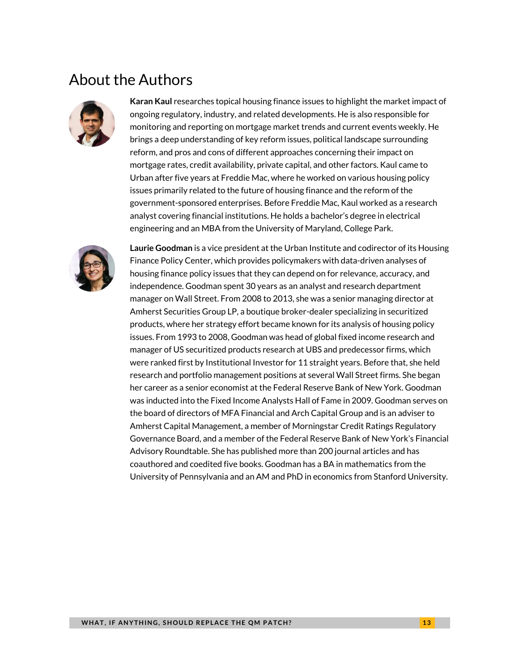## About the Authors



**Karan Kaul** researches topical housing finance issues to highlight the market impact of ongoing regulatory, industry, and related developments. He is also responsible for monitoring and reporting on mortgage market trends and current events weekly. He brings a deep understanding of key reform issues, political landscape surrounding reform, and pros and cons of different approaches concerning their impact on mortgage rates, credit availability, private capital, and other factors. Kaul came to Urban after five years at Freddie Mac, where he worked on various housing policy issues primarily related to the future of housing finance and the reform of the government-sponsored enterprises. Before Freddie Mac, Kaul worked as a research analyst covering financial institutions. He holds a bachelor's degree in electrical engineering and an MBA from the University of Maryland, College Park.



**Laurie Goodman** is a vice president at the Urban Institute and codirector of its Housing Finance Policy Center, which provides policymakers with data-driven analyses of housing finance policy issues that they can depend on for relevance, accuracy, and independence. Goodman spent 30 years as an analyst and research department manager on Wall Street. From 2008 to 2013, she was a senior managing director at Amherst Securities Group LP, a boutique broker-dealer specializing in securitized products, where her strategy effort became known for its analysis of housing policy issues. From 1993 to 2008, Goodman was head of global fixed income research and manager of US securitized products research at UBS and predecessor firms, which were ranked first by Institutional Investor for 11 straight years. Before that, she held research and portfolio management positions at several Wall Street firms. She began her career as a senior economist at the Federal Reserve Bank of New York. Goodman was inducted into the Fixed Income Analysts Hall of Fame in 2009. Goodman serves on the board of directors of MFA Financial and Arch Capital Group and is an adviser to Amherst Capital Management, a member of Morningstar Credit Ratings Regulatory Governance Board, and a member of the Federal Reserve Bank of New York's Financial Advisory Roundtable. She has published more than 200 journal articles and has coauthored and coedited five books. Goodman has a BA in mathematics from the University of Pennsylvania and an AM and PhD in economics from Stanford University.